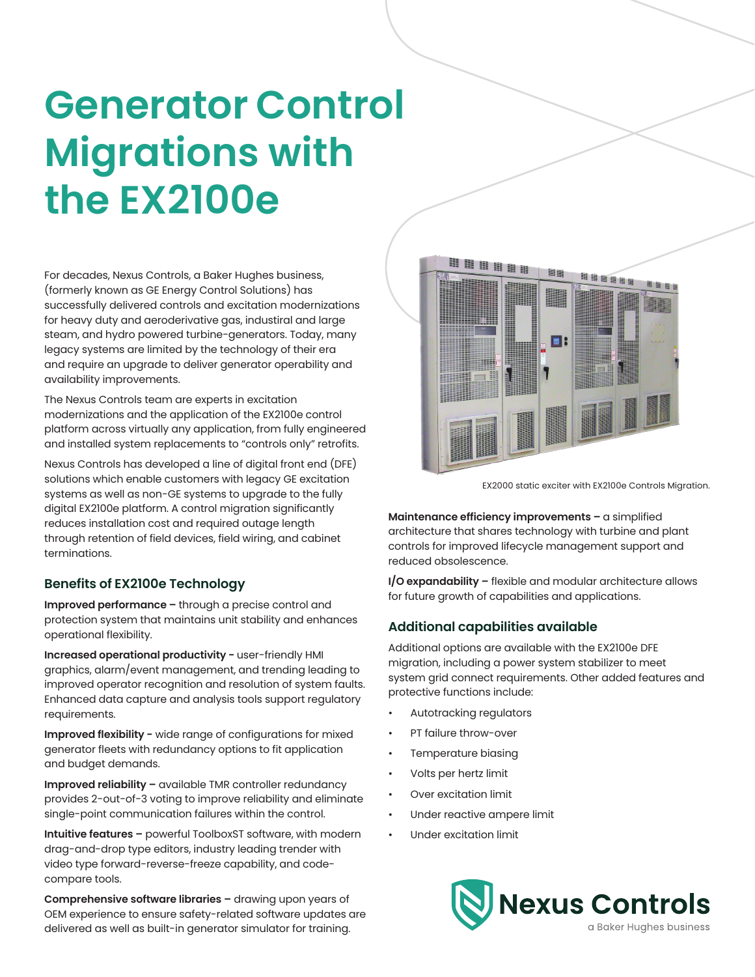# **Generator Control Migrations with the EX2100e**

For decades, Nexus Controls, a Baker Hughes business, (formerly known as GE Energy Control Solutions) has successfully delivered controls and excitation modernizations for heavy duty and aeroderivative gas, industiral and large steam, and hydro powered turbine-generators. Today, many legacy systems are limited by the technology of their era and require an upgrade to deliver generator operability and availability improvements.

The Nexus Controls team are experts in excitation modernizations and the application of the EX2100e control platform across virtually any application, from fully engineered and installed system replacements to "controls only" retrofits.

Nexus Controls has developed a line of digital front end (DFE) solutions which enable customers with legacy GE excitation systems as well as non-GE systems to upgrade to the fully digital EX2100e platform. A control migration significantly reduces installation cost and required outage length through retention of field devices, field wiring, and cabinet terminations.

# **Benefits of EX2100e Technology**

**Improved performance –** through a precise control and protection system that maintains unit stability and enhances operational flexibility.

**Increased operational productivity −** user-friendly HMI graphics, alarm/event management, and trending leading to improved operator recognition and resolution of system faults. Enhanced data capture and analysis tools support regulatory requirements.

**Improved flexibility −** wide range of configurations for mixed generator fleets with redundancy options to fit application and budget demands.

**Improved reliability –** available TMR controller redundancy provides 2-out-of-3 voting to improve reliability and eliminate single-point communication failures within the control.

**Intuitive features –** powerful ToolboxST software, with modern drag-and-drop type editors, industry leading trender with video type forward-reverse-freeze capability, and codecompare tools.

**Comprehensive software libraries –** drawing upon years of OEM experience to ensure safety-related software updates are delivered as well as built-in generator simulator for training.



EX2000 static exciter with EX2100e Controls Migration.

**Maintenance efficiency improvements –** a simplified architecture that shares technology with turbine and plant controls for improved lifecycle management support and reduced obsolescence.

**I/O expandability –** flexible and modular architecture allows for future growth of capabilities and applications.

# **Additional capabilities available**

Additional options are available with the EX2100e DFE migration, including a power system stabilizer to meet system grid connect requirements. Other added features and protective functions include:

- Autotracking regulators
- PT failure throw-over
- Temperature biasing
- Volts per hertz limit
- Over excitation limit
- Under reactive ampere limit
- Under excitation limit